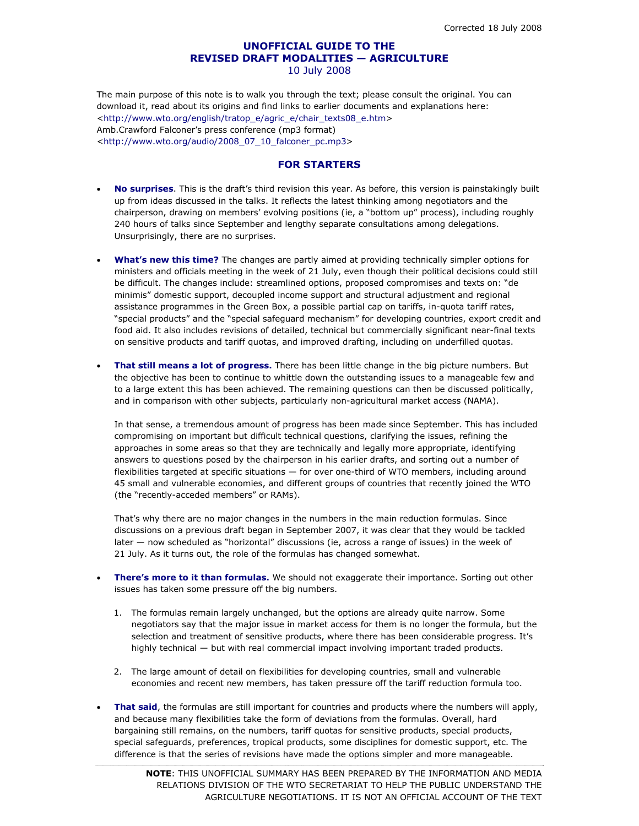# **UNOFFICIAL GUIDE TO THE REVISED DRAFT MODALITIES — AGRICULTURE**  10 July 2008

The main purpose of this note is to walk you through the text; please consult the original. You can download it, read about its origins and find links to earlier documents and explanations here: <http://www.wto.org/english/tratop\_e/agric\_e/chair\_texts08\_e.htm> Amb.Crawford Falconer's press conference (mp3 format) <http://www.wto.org/audio/2008\_07\_10\_falconer\_pc.mp3>

# **FOR STARTERS**

- **No surprises**. This is the draft's third revision this year. As before, this version is painstakingly built up from ideas discussed in the talks. It reflects the latest thinking among negotiators and the chairperson, drawing on members' evolving positions (ie, a "bottom up" process), including roughly 240 hours of talks since September and lengthy separate consultations among delegations. Unsurprisingly, there are no surprises.
- **What's new this time?** The changes are partly aimed at providing technically simpler options for ministers and officials meeting in the week of 21 July, even though their political decisions could still be difficult. The changes include: streamlined options, proposed compromises and texts on: "de minimis" domestic support, decoupled income support and structural adjustment and regional assistance programmes in the Green Box, a possible partial cap on tariffs, in-quota tariff rates, "special products" and the "special safeguard mechanism" for developing countries, export credit and food aid. It also includes revisions of detailed, technical but commercially significant near-final texts on sensitive products and tariff quotas, and improved drafting, including on underfilled quotas.
- **That still means a lot of progress.** There has been little change in the big picture numbers. But the objective has been to continue to whittle down the outstanding issues to a manageable few and to a large extent this has been achieved. The remaining questions can then be discussed politically, and in comparison with other subjects, particularly non-agricultural market access (NAMA).

In that sense, a tremendous amount of progress has been made since September. This has included compromising on important but difficult technical questions, clarifying the issues, refining the approaches in some areas so that they are technically and legally more appropriate, identifying answers to questions posed by the chairperson in his earlier drafts, and sorting out a number of flexibilities targeted at specific situations — for over one-third of WTO members, including around 45 small and vulnerable economies, and different groups of countries that recently joined the WTO (the "recently-acceded members" or RAMs).

That's why there are no major changes in the numbers in the main reduction formulas. Since discussions on a previous draft began in September 2007, it was clear that they would be tackled later — now scheduled as "horizontal" discussions (ie, across a range of issues) in the week of 21 July. As it turns out, the role of the formulas has changed somewhat.

- **There's more to it than formulas.** We should not exaggerate their importance. Sorting out other issues has taken some pressure off the big numbers.
	- 1. The formulas remain largely unchanged, but the options are already quite narrow. Some negotiators say that the major issue in market access for them is no longer the formula, but the selection and treatment of sensitive products, where there has been considerable progress. It's highly technical — but with real commercial impact involving important traded products.
	- 2. The large amount of detail on flexibilities for developing countries, small and vulnerable economies and recent new members, has taken pressure off the tariff reduction formula too.
- **That said**, the formulas are still important for countries and products where the numbers will apply, and because many flexibilities take the form of deviations from the formulas. Overall, hard bargaining still remains, on the numbers, tariff quotas for sensitive products, special products, special safeguards, preferences, tropical products, some disciplines for domestic support, etc. The difference is that the series of revisions have made the options simpler and more manageable.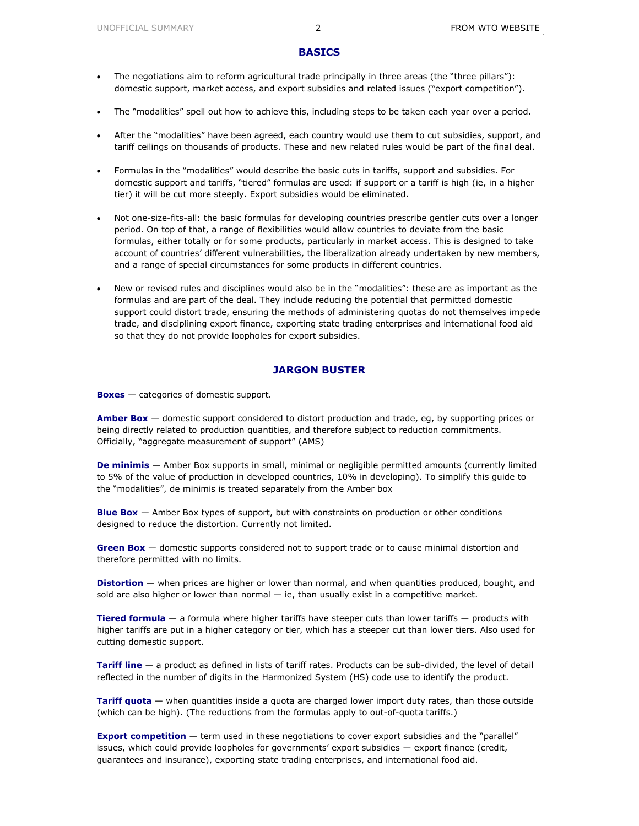## **BASICS**

- The negotiations aim to reform agricultural trade principally in three areas (the "three pillars"): domestic support, market access, and export subsidies and related issues ("export competition").
- The "modalities" spell out how to achieve this, including steps to be taken each year over a period.
- After the "modalities" have been agreed, each country would use them to cut subsidies, support, and tariff ceilings on thousands of products. These and new related rules would be part of the final deal.
- Formulas in the "modalities" would describe the basic cuts in tariffs, support and subsidies. For domestic support and tariffs, "tiered" formulas are used: if support or a tariff is high (ie, in a higher tier) it will be cut more steeply. Export subsidies would be eliminated.
- Not one-size-fits-all: the basic formulas for developing countries prescribe gentler cuts over a longer period. On top of that, a range of flexibilities would allow countries to deviate from the basic formulas, either totally or for some products, particularly in market access. This is designed to take account of countries' different vulnerabilities, the liberalization already undertaken by new members, and a range of special circumstances for some products in different countries.
- New or revised rules and disciplines would also be in the "modalities": these are as important as the formulas and are part of the deal. They include reducing the potential that permitted domestic support could distort trade, ensuring the methods of administering quotas do not themselves impede trade, and disciplining export finance, exporting state trading enterprises and international food aid so that they do not provide loopholes for export subsidies.

# **JARGON BUSTER**

**Boxes** — categories of domestic support.

**Amber Box** — domestic support considered to distort production and trade, eg, by supporting prices or being directly related to production quantities, and therefore subject to reduction commitments. Officially, "aggregate measurement of support" (AMS)

**De minimis** — Amber Box supports in small, minimal or negligible permitted amounts (currently limited to 5% of the value of production in developed countries, 10% in developing). To simplify this guide to the "modalities", de minimis is treated separately from the Amber box

**Blue Box** — Amber Box types of support, but with constraints on production or other conditions designed to reduce the distortion. Currently not limited.

**Green Box** — domestic supports considered not to support trade or to cause minimal distortion and therefore permitted with no limits.

**Distortion** — when prices are higher or lower than normal, and when quantities produced, bought, and sold are also higher or lower than normal  $-$  ie, than usually exist in a competitive market.

**Tiered formula** — a formula where higher tariffs have steeper cuts than lower tariffs — products with higher tariffs are put in a higher category or tier, which has a steeper cut than lower tiers. Also used for cutting domestic support.

**Tariff line** — a product as defined in lists of tariff rates. Products can be sub-divided, the level of detail reflected in the number of digits in the Harmonized System (HS) code use to identify the product.

**Tariff quota** — when quantities inside a quota are charged lower import duty rates, than those outside (which can be high). (The reductions from the formulas apply to out-of-quota tariffs.)

**Export competition** — term used in these negotiations to cover export subsidies and the "parallel" issues, which could provide loopholes for governments' export subsidies — export finance (credit, guarantees and insurance), exporting state trading enterprises, and international food aid.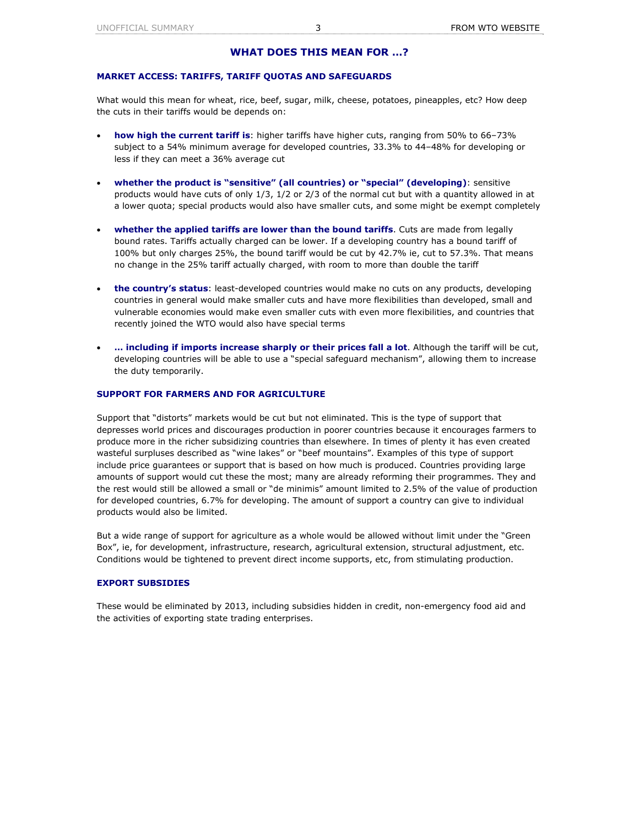# **WHAT DOES THIS MEAN FOR …?**

## **MARKET ACCESS: TARIFFS, TARIFF QUOTAS AND SAFEGUARDS**

What would this mean for wheat, rice, beef, sugar, milk, cheese, potatoes, pineapples, etc? How deep the cuts in their tariffs would be depends on:

- **how high the current tariff is**: higher tariffs have higher cuts, ranging from 50% to 66–73% subject to a 54% minimum average for developed countries, 33.3% to 44–48% for developing or less if they can meet a 36% average cut
- **whether the product is "sensitive" (all countries) or "special" (developing)**: sensitive products would have cuts of only 1/3, 1/2 or 2/3 of the normal cut but with a quantity allowed in at a lower quota; special products would also have smaller cuts, and some might be exempt completely
- **whether the applied tariffs are lower than the bound tariffs**. Cuts are made from legally bound rates. Tariffs actually charged can be lower. If a developing country has a bound tariff of 100% but only charges 25%, the bound tariff would be cut by 42.7% ie, cut to 57.3%. That means no change in the 25% tariff actually charged, with room to more than double the tariff
- **the country's status**: least-developed countries would make no cuts on any products, developing countries in general would make smaller cuts and have more flexibilities than developed, small and vulnerable economies would make even smaller cuts with even more flexibilities, and countries that recently joined the WTO would also have special terms
- **… including if imports increase sharply or their prices fall a lot**. Although the tariff will be cut, developing countries will be able to use a "special safeguard mechanism", allowing them to increase the duty temporarily.

## **SUPPORT FOR FARMERS AND FOR AGRICULTURE**

Support that "distorts" markets would be cut but not eliminated. This is the type of support that depresses world prices and discourages production in poorer countries because it encourages farmers to produce more in the richer subsidizing countries than elsewhere. In times of plenty it has even created wasteful surpluses described as "wine lakes" or "beef mountains". Examples of this type of support include price guarantees or support that is based on how much is produced. Countries providing large amounts of support would cut these the most; many are already reforming their programmes. They and the rest would still be allowed a small or "de minimis" amount limited to 2.5% of the value of production for developed countries, 6.7% for developing. The amount of support a country can give to individual products would also be limited.

But a wide range of support for agriculture as a whole would be allowed without limit under the "Green Box", ie, for development, infrastructure, research, agricultural extension, structural adjustment, etc. Conditions would be tightened to prevent direct income supports, etc, from stimulating production.

# **EXPORT SUBSIDIES**

These would be eliminated by 2013, including subsidies hidden in credit, non-emergency food aid and the activities of exporting state trading enterprises.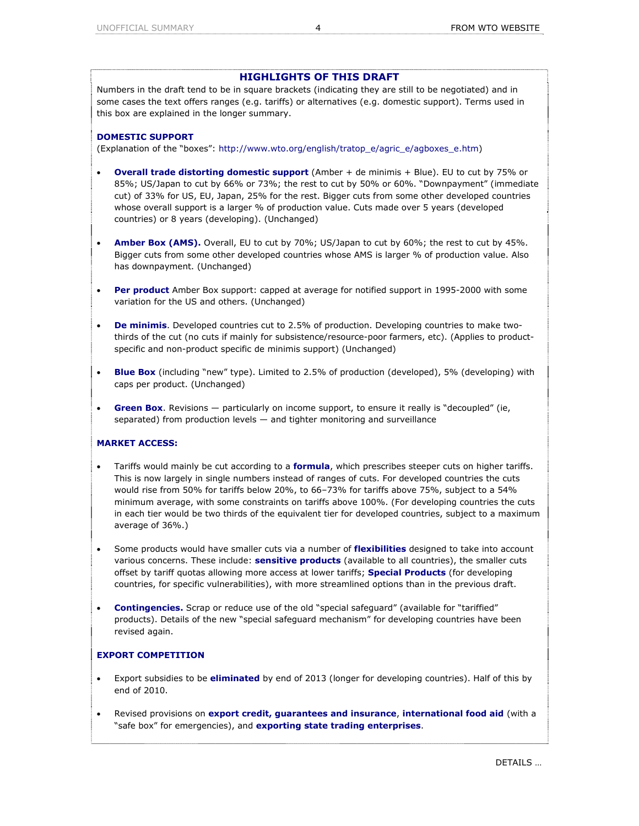# **HIGHLIGHTS OF THIS DRAFT**

Numbers in the draft tend to be in square brackets (indicating they are still to be negotiated) and in some cases the text offers ranges (e.g. tariffs) or alternatives (e.g. domestic support). Terms used in this box are explained in the longer summary.

## **DOMESTIC SUPPORT**

(Explanation of the "boxes": http://www.wto.org/english/tratop\_e/agric\_e/agboxes\_e.htm)

- **Overall trade distorting domestic support** (Amber + de minimis + Blue). EU to cut by 75% or 85%; US/Japan to cut by 66% or 73%; the rest to cut by 50% or 60%. "Downpayment" (immediate cut) of 33% for US, EU, Japan, 25% for the rest. Bigger cuts from some other developed countries whose overall support is a larger % of production value. Cuts made over 5 years (developed countries) or 8 years (developing). (Unchanged)
- **Amber Box (AMS).** Overall, EU to cut by 70%; US/Japan to cut by 60%; the rest to cut by 45%. Bigger cuts from some other developed countries whose AMS is larger % of production value. Also has downpayment. (Unchanged)
- **Per product** Amber Box support: capped at average for notified support in 1995-2000 with some variation for the US and others. (Unchanged)
- **De minimis**. Developed countries cut to 2.5% of production. Developing countries to make twothirds of the cut (no cuts if mainly for subsistence/resource-poor farmers, etc). (Applies to productspecific and non-product specific de minimis support) (Unchanged)
- **Blue Box** (including "new" type). Limited to 2.5% of production (developed), 5% (developing) with caps per product. (Unchanged)
- **Green Box**. Revisions particularly on income support, to ensure it really is "decoupled" (ie, separated) from production levels — and tighter monitoring and surveillance

# **MARKET ACCESS:**

- Tariffs would mainly be cut according to a **formula**, which prescribes steeper cuts on higher tariffs. This is now largely in single numbers instead of ranges of cuts. For developed countries the cuts would rise from 50% for tariffs below 20%, to 66–73% for tariffs above 75%, subject to a 54% minimum average, with some constraints on tariffs above 100%. (For developing countries the cuts in each tier would be two thirds of the equivalent tier for developed countries, subject to a maximum average of 36%.)
- Some products would have smaller cuts via a number of **flexibilities** designed to take into account various concerns. These include: **sensitive products** (available to all countries), the smaller cuts offset by tariff quotas allowing more access at lower tariffs; **Special Products** (for developing countries, for specific vulnerabilities), with more streamlined options than in the previous draft.
- **Contingencies.** Scrap or reduce use of the old "special safeguard" (available for "tariffied" products). Details of the new "special safeguard mechanism" for developing countries have been revised again.

# **EXPORT COMPETITION**

- Export subsidies to be **eliminated** by end of 2013 (longer for developing countries). Half of this by end of 2010.
- Revised provisions on **export credit, guarantees and insurance**, **international food aid** (with a "safe box" for emergencies), and **exporting state trading enterprises**.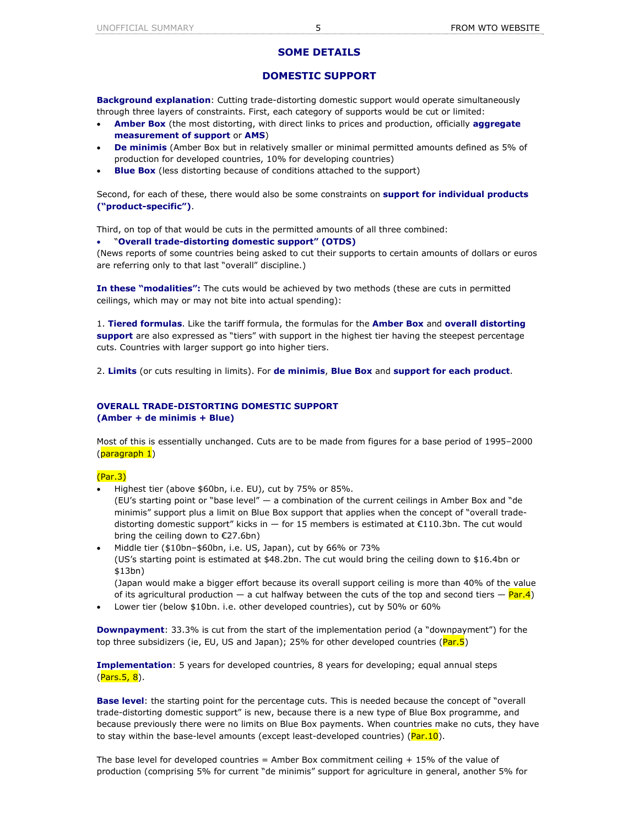# **SOME DETAILS**

# **DOMESTIC SUPPORT**

**Background explanation**: Cutting trade-distorting domestic support would operate simultaneously through three layers of constraints. First, each category of supports would be cut or limited:

- **Amber Box** (the most distorting, with direct links to prices and production, officially **aggregate measurement of support** or **AMS**)
- **De minimis** (Amber Box but in relatively smaller or minimal permitted amounts defined as 5% of production for developed countries, 10% for developing countries)
- **Blue Box** (less distorting because of conditions attached to the support)

Second, for each of these, there would also be some constraints on **support for individual products ("product-specific")**.

Third, on top of that would be cuts in the permitted amounts of all three combined:

### • "**Overall trade-distorting domestic support" (OTDS)**

(News reports of some countries being asked to cut their supports to certain amounts of dollars or euros are referring only to that last "overall" discipline.)

**In these "modalities":** The cuts would be achieved by two methods (these are cuts in permitted ceilings, which may or may not bite into actual spending):

1. **Tiered formulas**. Like the tariff formula, the formulas for the **Amber Box** and **overall distorting support** are also expressed as "tiers" with support in the highest tier having the steepest percentage cuts. Countries with larger support go into higher tiers.

2. **Limits** (or cuts resulting in limits). For **de minimis**, **Blue Box** and **support for each product**.

## **OVERALL TRADE-DISTORTING DOMESTIC SUPPORT (Amber + de minimis + Blue)**

Most of this is essentially unchanged. Cuts are to be made from figures for a base period of 1995–2000 (paragraph 1)

# (Par.3)

• Highest tier (above \$60bn, i.e. EU), cut by 75% or 85%.

(EU's starting point or "base level" — a combination of the current ceilings in Amber Box and "de minimis" support plus a limit on Blue Box support that applies when the concept of "overall tradedistorting domestic support" kicks in  $-$  for 15 members is estimated at  $\epsilon$ 110.3bn. The cut would bring the ceiling down to €27.6bn)

• Middle tier (\$10bn–\$60bn, i.e. US, Japan), cut by 66% or 73% (US's starting point is estimated at \$48.2bn. The cut would bring the ceiling down to \$16.4bn or \$13bn) (Japan would make a bigger effort because its overall support ceiling is more than 40% of the value

of its agricultural production  $-$  a cut halfway between the cuts of the top and second tiers  $-$  Par.4)

• Lower tier (below \$10bn. i.e. other developed countries), cut by 50% or 60%

**Downpayment**: 33.3% is cut from the start of the implementation period (a "downpayment") for the top three subsidizers (ie, EU, US and Japan); 25% for other developed countries (Par.5)

**Implementation**: 5 years for developed countries, 8 years for developing; equal annual steps (Pars.5, 8).

**Base level**: the starting point for the percentage cuts. This is needed because the concept of "overall trade-distorting domestic support" is new, because there is a new type of Blue Box programme, and because previously there were no limits on Blue Box payments. When countries make no cuts, they have to stay within the base-level amounts (except least-developed countries)  $(\text{Par}.10)$ .

The base level for developed countries = Amber Box commitment ceiling  $+15\%$  of the value of production (comprising 5% for current "de minimis" support for agriculture in general, another 5% for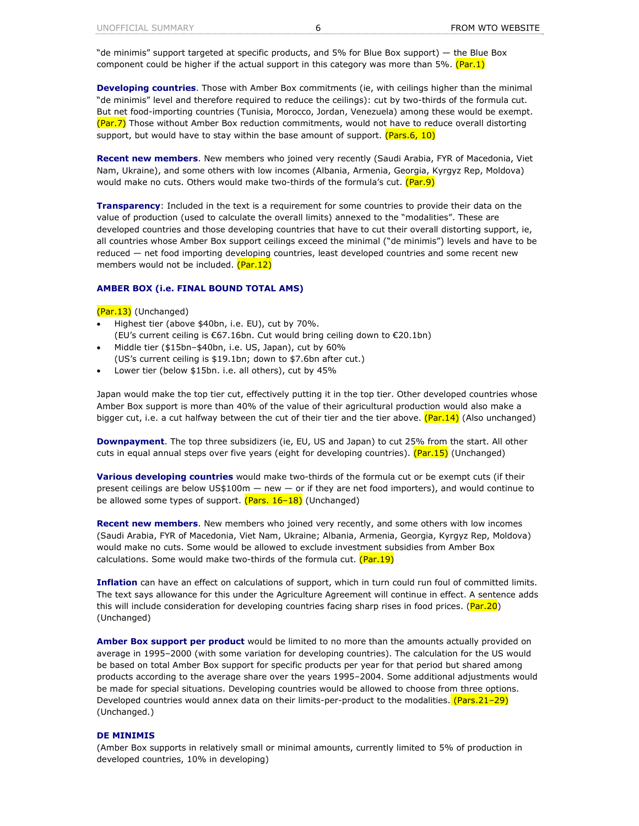"de minimis" support targeted at specific products, and 5% for Blue Box support) — the Blue Box component could be higher if the actual support in this category was more than 5%. (Par.1)

**Developing countries**. Those with Amber Box commitments (ie, with ceilings higher than the minimal "de minimis" level and therefore required to reduce the ceilings): cut by two-thirds of the formula cut. But net food-importing countries (Tunisia, Morocco, Jordan, Venezuela) among these would be exempt. (Par.7) Those without Amber Box reduction commitments, would not have to reduce overall distorting support, but would have to stay within the base amount of support. (Pars.6, 10)

**Recent new members**. New members who joined very recently (Saudi Arabia, FYR of Macedonia, Viet Nam, Ukraine), and some others with low incomes (Albania, Armenia, Georgia, Kyrgyz Rep, Moldova) would make no cuts. Others would make two-thirds of the formula's cut. (Par.9)

**Transparency**: Included in the text is a requirement for some countries to provide their data on the value of production (used to calculate the overall limits) annexed to the "modalities". These are developed countries and those developing countries that have to cut their overall distorting support, ie, all countries whose Amber Box support ceilings exceed the minimal ("de minimis") levels and have to be reduced — net food importing developing countries, least developed countries and some recent new members would not be included. (Par.12)

### **AMBER BOX (i.e. FINAL BOUND TOTAL AMS)**

(Par.13) (Unchanged)

- Highest tier (above \$40bn, i.e. EU), cut by 70%. (EU's current ceiling is €67.16bn. Cut would bring ceiling down to €20.1bn)
- Middle tier (\$15bn–\$40bn, i.e. US, Japan), cut by 60% (US's current ceiling is \$19.1bn; down to \$7.6bn after cut.)
- Lower tier (below \$15bn. i.e. all others), cut by 45%

Japan would make the top tier cut, effectively putting it in the top tier. Other developed countries whose Amber Box support is more than 40% of the value of their agricultural production would also make a bigger cut, i.e. a cut halfway between the cut of their tier and the tier above.  $(Par.14)$  (Also unchanged)

**Downpayment**. The top three subsidizers (ie, EU, US and Japan) to cut 25% from the start. All other cuts in equal annual steps over five years (eight for developing countries). (Par.15) (Unchanged)

**Various developing countries** would make two-thirds of the formula cut or be exempt cuts (if their present ceilings are below US\$100m — new — or if they are net food importers), and would continue to be allowed some types of support.  $( Pars. 16-18)$  (Unchanged)

**Recent new members**. New members who joined very recently, and some others with low incomes (Saudi Arabia, FYR of Macedonia, Viet Nam, Ukraine; Albania, Armenia, Georgia, Kyrgyz Rep, Moldova) would make no cuts. Some would be allowed to exclude investment subsidies from Amber Box calculations. Some would make two-thirds of the formula cut.  $(Par.19)$ 

**Inflation** can have an effect on calculations of support, which in turn could run foul of committed limits. The text says allowance for this under the Agriculture Agreement will continue in effect. A sentence adds this will include consideration for developing countries facing sharp rises in food prices. (Par.20) (Unchanged)

**Amber Box support per product** would be limited to no more than the amounts actually provided on average in 1995–2000 (with some variation for developing countries). The calculation for the US would be based on total Amber Box support for specific products per year for that period but shared among products according to the average share over the years 1995–2004. Some additional adjustments would be made for special situations. Developing countries would be allowed to choose from three options. Developed countries would annex data on their limits-per-product to the modalities. (Pars.21-29) (Unchanged.)

## **DE MINIMIS**

(Amber Box supports in relatively small or minimal amounts, currently limited to 5% of production in developed countries, 10% in developing)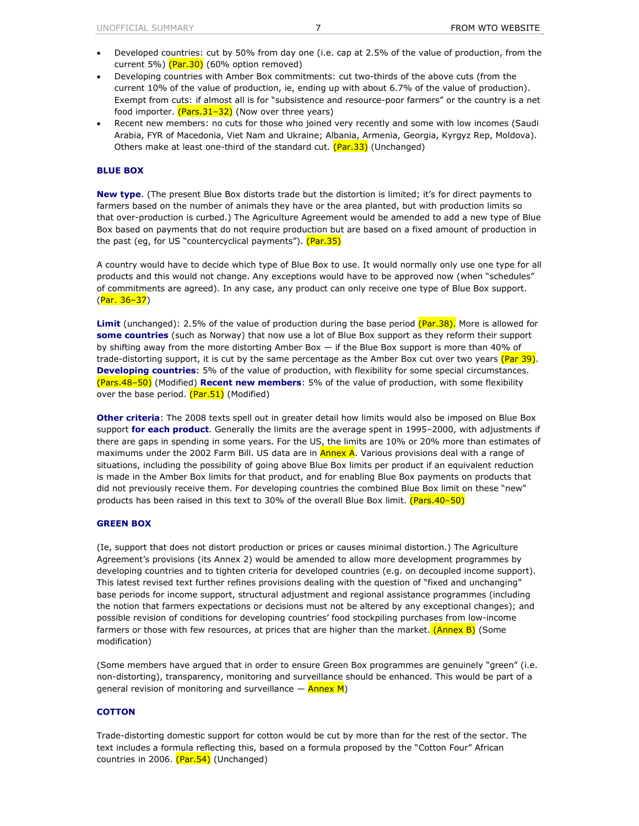- Developed countries: cut by 50% from day one (i.e. cap at 2.5% of the value of production, from the current 5%)  $(Par.30)$  (60% option removed)
- Developing countries with Amber Box commitments: cut two-thirds of the above cuts (from the current 10% of the value of production, ie, ending up with about 6.7% of the value of production). Exempt from cuts: if almost all is for "subsistence and resource-poor farmers" or the country is a net food importer.  $(Pars.31-32)$  (Now over three years)
- Recent new members: no cuts for those who joined very recently and some with low incomes (Saudi Arabia, FYR of Macedonia, Viet Nam and Ukraine; Albania, Armenia, Georgia, Kyrgyz Rep, Moldova). Others make at least one-third of the standard cut. (Par.33) (Unchanged)

# **BLUE BOX**

**New type**. (The present Blue Box distorts trade but the distortion is limited; it's for direct payments to farmers based on the number of animals they have or the area planted, but with production limits so that over-production is curbed.) The Agriculture Agreement would be amended to add a new type of Blue Box based on payments that do not require production but are based on a fixed amount of production in the past (eg, for US "countercyclical payments"). (Par.35)

A country would have to decide which type of Blue Box to use. It would normally only use one type for all products and this would not change. Any exceptions would have to be approved now (when "schedules" of commitments are agreed). In any case, any product can only receive one type of Blue Box support. (Par. 36–37)

**Limit** (unchanged): 2.5% of the value of production during the base period (Par.38). More is allowed for **some countries** (such as Norway) that now use a lot of Blue Box support as they reform their support by shifting away from the more distorting Amber Box — if the Blue Box support is more than 40% of trade-distorting support, it is cut by the same percentage as the Amber Box cut over two years (Par 39). **Developing countries**: 5% of the value of production, with flexibility for some special circumstances. (Pars.48–50) (Modified) **Recent new members**: 5% of the value of production, with some flexibility over the base period. (Par.51) (Modified)

**Other criteria**: The 2008 texts spell out in greater detail how limits would also be imposed on Blue Box support **for each product**. Generally the limits are the average spent in 1995–2000, with adjustments if there are gaps in spending in some years. For the US, the limits are 10% or 20% more than estimates of maximums under the 2002 Farm Bill. US data are in **Annex A**. Various provisions deal with a range of situations, including the possibility of going above Blue Box limits per product if an equivalent reduction is made in the Amber Box limits for that product, and for enabling Blue Box payments on products that did not previously receive them. For developing countries the combined Blue Box limit on these "new" products has been raised in this text to 30% of the overall Blue Box limit. (Pars.40–50)

### **GREEN BOX**

(Ie, support that does not distort production or prices or causes minimal distortion.) The Agriculture Agreement's provisions (its Annex 2) would be amended to allow more development programmes by developing countries and to tighten criteria for developed countries (e.g. on decoupled income support). This latest revised text further refines provisions dealing with the question of "fixed and unchanging" base periods for income support, structural adjustment and regional assistance programmes (including the notion that farmers expectations or decisions must not be altered by any exceptional changes); and possible revision of conditions for developing countries' food stockpiling purchases from low-income farmers or those with few resources, at prices that are higher than the market.  $(AnnexB)$  (Some modification)

(Some members have argued that in order to ensure Green Box programmes are genuinely "green" (i.e. non-distorting), transparency, monitoring and surveillance should be enhanced. This would be part of a general revision of monitoring and surveillance  $-$  Annex M)

## **COTTON**

Trade-distorting domestic support for cotton would be cut by more than for the rest of the sector. The text includes a formula reflecting this, based on a formula proposed by the "Cotton Four" African countries in 2006. (Par.54) (Unchanged)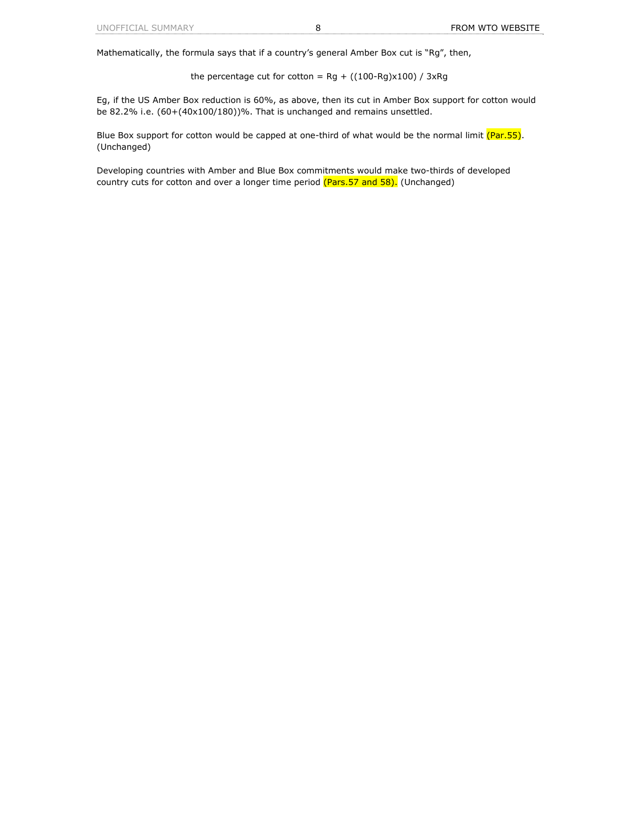Mathematically, the formula says that if a country's general Amber Box cut is "*Rg*", then,

the percentage cut for cotton = *Rg* + ((100-*Rg*)x100) / 3x*Rg*

Eg, if the US Amber Box reduction is 60%, as above, then its cut in Amber Box support for cotton would be 82.2% i.e. (60+(40x100/180))%. That is unchanged and remains unsettled.

Blue Box support for cotton would be capped at one-third of what would be the normal limit (Par.55). (Unchanged)

Developing countries with Amber and Blue Box commitments would make two-thirds of developed country cuts for cotton and over a longer time period (Pars.57 and 58). (Unchanged)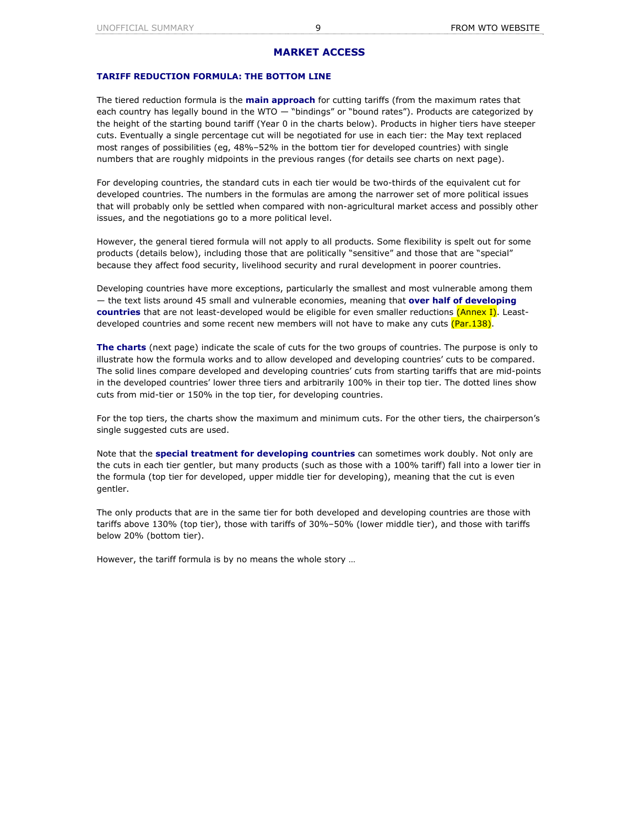# **MARKET ACCESS**

### **TARIFF REDUCTION FORMULA: THE BOTTOM LINE**

The tiered reduction formula is the **main approach** for cutting tariffs (from the maximum rates that each country has legally bound in the WTO — "bindings" or "bound rates"). Products are categorized by the height of the starting bound tariff (Year 0 in the charts below). Products in higher tiers have steeper cuts. Eventually a single percentage cut will be negotiated for use in each tier: the May text replaced most ranges of possibilities (eg, 48%–52% in the bottom tier for developed countries) with single numbers that are roughly midpoints in the previous ranges (for details see charts on next page).

For developing countries, the standard cuts in each tier would be two-thirds of the equivalent cut for developed countries. The numbers in the formulas are among the narrower set of more political issues that will probably only be settled when compared with non-agricultural market access and possibly other issues, and the negotiations go to a more political level.

However, the general tiered formula will not apply to all products. Some flexibility is spelt out for some products (details below), including those that are politically "sensitive" and those that are "special" because they affect food security, livelihood security and rural development in poorer countries.

Developing countries have more exceptions, particularly the smallest and most vulnerable among them — the text lists around 45 small and vulnerable economies, meaning that **over half of developing countries** that are not least-developed would be eligible for even smaller reductions (Annex I). Leastdeveloped countries and some recent new members will not have to make any cuts  $(Par.138)$ .

**The charts** (next page) indicate the scale of cuts for the two groups of countries. The purpose is only to illustrate how the formula works and to allow developed and developing countries' cuts to be compared. The solid lines compare developed and developing countries' cuts from starting tariffs that are mid-points in the developed countries' lower three tiers and arbitrarily 100% in their top tier. The dotted lines show cuts from mid-tier or 150% in the top tier, for developing countries.

For the top tiers, the charts show the maximum and minimum cuts. For the other tiers, the chairperson's single suggested cuts are used.

Note that the **special treatment for developing countries** can sometimes work doubly. Not only are the cuts in each tier gentler, but many products (such as those with a 100% tariff) fall into a lower tier in the formula (top tier for developed, upper middle tier for developing), meaning that the cut is even gentler.

The only products that are in the same tier for both developed and developing countries are those with tariffs above 130% (top tier), those with tariffs of 30%–50% (lower middle tier), and those with tariffs below 20% (bottom tier).

However, the tariff formula is by no means the whole story …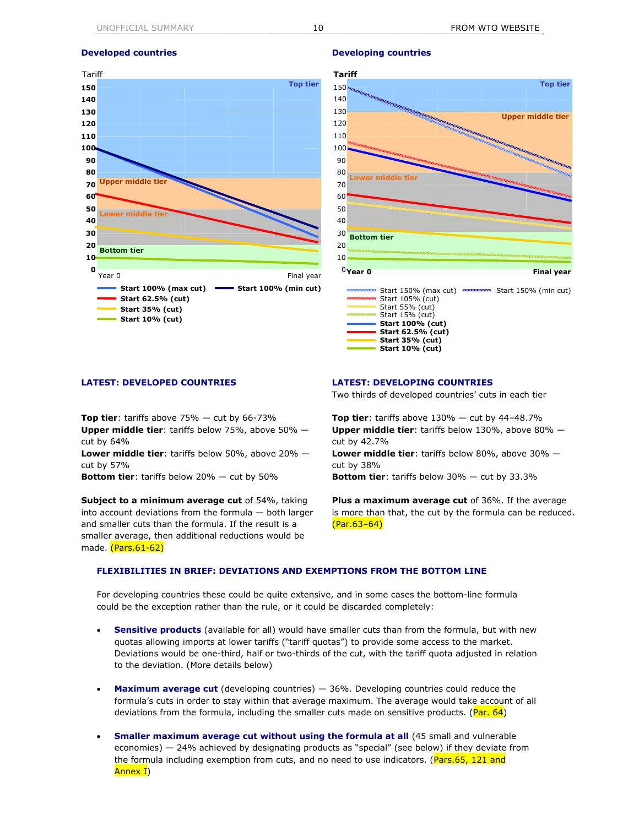

### **Developed countries and all of the Developing countries in the Developing countries**



**Top tier**: tariffs above 75% — cut by 66-73% **Upper middle tier**: tariffs below 75%, above 50% cut by 64% **Lower middle tier**: tariffs below 50%, above 20% —

cut by 57%

**Bottom tier**: tariffs below 20% — cut by 50%

**Subject to a minimum average cut** of 54%, taking into account deviations from the formula — both larger and smaller cuts than the formula. If the result is a smaller average, then additional reductions would be made. (Pars.61-62)

**LATEST: DEVELOPED COUNTRIES LATEST: DEVELOPING COUNTRIES**

Two thirds of developed countries' cuts in each tier

**Top tier**: tariffs above  $130\%$  - cut by  $44-48.7\%$ **Upper middle tier**: tariffs below 130%, above 80% cut by 42.7% **Lower middle tier**: tariffs below 80%, above 30% cut by 38%

**Bottom tier**: tariffs below 30% — cut by 33.3%

**Plus a maximum average cut** of 36%. If the average is more than that, the cut by the formula can be reduced. (Par.63–64)

## **FLEXIBILITIES IN BRIEF: DEVIATIONS AND EXEMPTIONS FROM THE BOTTOM LINE**

For developing countries these could be quite extensive, and in some cases the bottom-line formula could be the exception rather than the rule, or it could be discarded completely:

- **Sensitive products** (available for all) would have smaller cuts than from the formula, but with new quotas allowing imports at lower tariffs ("tariff quotas") to provide some access to the market. Deviations would be one-third, half or two-thirds of the cut, with the tariff quota adjusted in relation to the deviation. (More details below)
- **Maximum average cut** (developing countries) 36%. Developing countries could reduce the formula's cuts in order to stay within that average maximum. The average would take account of all deviations from the formula, including the smaller cuts made on sensitive products. ( $Par. 64$ )
- **Smaller maximum average cut without using the formula at all** (45 small and vulnerable economies) — 24% achieved by designating products as "special" (see below) if they deviate from the formula including exemption from cuts, and no need to use indicators. (Pars.65, 121 and Annex I)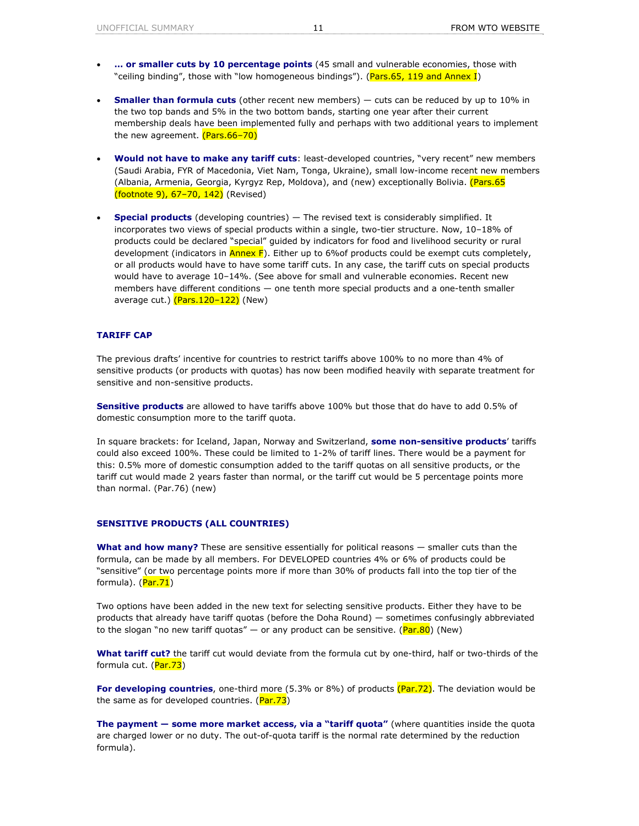- **… or smaller cuts by 10 percentage points** (45 small and vulnerable economies, those with "ceiling binding", those with "low homogeneous bindings"). (Pars.65, 119 and Annex I)
- **Smaller than formula cuts** (other recent new members) cuts can be reduced by up to 10% in the two top bands and 5% in the two bottom bands, starting one year after their current membership deals have been implemented fully and perhaps with two additional years to implement the new agreement. (Pars.66-70)
- **Would not have to make any tariff cuts**: least-developed countries, "very recent" new members (Saudi Arabia, FYR of Macedonia, Viet Nam, Tonga, Ukraine), small low-income recent new members (Albania, Armenia, Georgia, Kyrgyz Rep, Moldova), and (new) exceptionally Bolivia. (Pars.65 (footnote 9), 67–70, 142) (Revised)
- **Special products** (developing countries) The revised text is considerably simplified. It incorporates two views of special products within a single, two-tier structure. Now, 10–18% of products could be declared "special" guided by indicators for food and livelihood security or rural development (indicators in  $\frac{\text{Annex}}{\text{F}}$ ). Either up to 6% of products could be exempt cuts completely, or all products would have to have some tariff cuts. In any case, the tariff cuts on special products would have to average 10–14%. (See above for small and vulnerable economies. Recent new members have different conditions — one tenth more special products and a one-tenth smaller average cut.) (Pars. 120-122) (New)

### **TARIFF CAP**

The previous drafts' incentive for countries to restrict tariffs above 100% to no more than 4% of sensitive products (or products with quotas) has now been modified heavily with separate treatment for sensitive and non-sensitive products.

**Sensitive products** are allowed to have tariffs above 100% but those that do have to add 0.5% of domestic consumption more to the tariff quota.

In square brackets: for Iceland, Japan, Norway and Switzerland, **some non-sensitive products**' tariffs could also exceed 100%. These could be limited to 1-2% of tariff lines. There would be a payment for this: 0.5% more of domestic consumption added to the tariff quotas on all sensitive products, or the tariff cut would made 2 years faster than normal, or the tariff cut would be 5 percentage points more than normal. (Par.76) (new)

## **SENSITIVE PRODUCTS (ALL COUNTRIES)**

**What and how many?** These are sensitive essentially for political reasons — smaller cuts than the formula, can be made by all members. For DEVELOPED countries 4% or 6% of products could be "sensitive" (or two percentage points more if more than 30% of products fall into the top tier of the formula). (Par. 71)

Two options have been added in the new text for selecting sensitive products. Either they have to be products that already have tariff quotas (before the Doha Round) — sometimes confusingly abbreviated to the slogan "no new tariff quotas" — or any product can be sensitive.  $(Par.80)$  (New)

**What tariff cut?** the tariff cut would deviate from the formula cut by one-third, half or two-thirds of the formula cut. (Par. 73)

**For developing countries**, one-third more (5.3% or 8%) of products (Par.72). The deviation would be the same as for developed countries.  $(Par.73)$ 

**The payment — some more market access, via a "tariff quota"** (where quantities inside the quota are charged lower or no duty. The out-of-quota tariff is the normal rate determined by the reduction formula).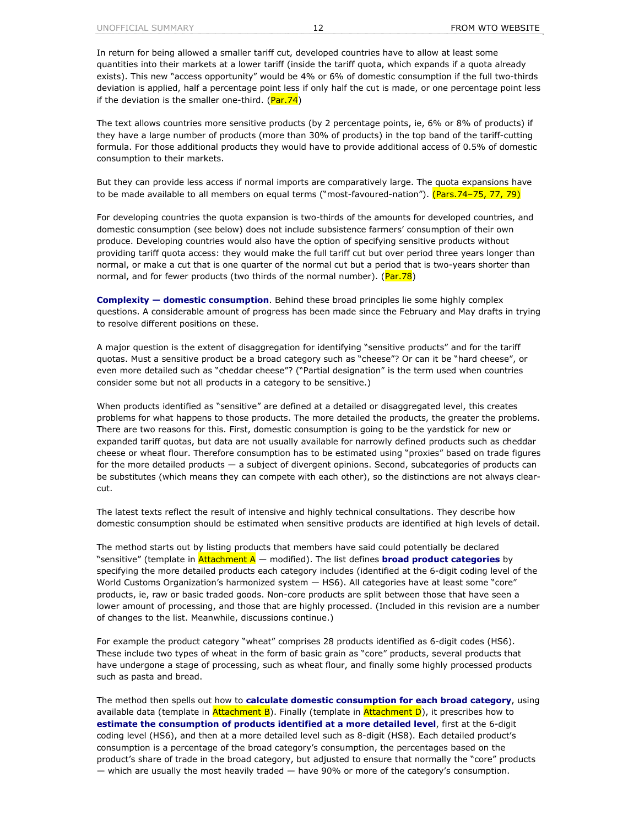In return for being allowed a smaller tariff cut, developed countries have to allow at least some quantities into their markets at a lower tariff (inside the tariff quota, which expands if a quota already exists). This new "access opportunity" would be 4% or 6% of domestic consumption if the full two-thirds deviation is applied, half a percentage point less if only half the cut is made, or one percentage point less if the deviation is the smaller one-third.  $(Par.74)$ 

The text allows countries more sensitive products (by 2 percentage points, ie, 6% or 8% of products) if they have a large number of products (more than 30% of products) in the top band of the tariff-cutting formula. For those additional products they would have to provide additional access of 0.5% of domestic consumption to their markets.

But they can provide less access if normal imports are comparatively large. The quota expansions have to be made available to all members on equal terms ("most-favoured-nation"). (Pars.74–75, 77, 79)

For developing countries the quota expansion is two-thirds of the amounts for developed countries, and domestic consumption (see below) does not include subsistence farmers' consumption of their own produce. Developing countries would also have the option of specifying sensitive products without providing tariff quota access: they would make the full tariff cut but over period three years longer than normal, or make a cut that is one quarter of the normal cut but a period that is two-years shorter than normal, and for fewer products (two thirds of the normal number). (Par.78)

**Complexity — domestic consumption**. Behind these broad principles lie some highly complex questions. A considerable amount of progress has been made since the February and May drafts in trying to resolve different positions on these.

A major question is the extent of disaggregation for identifying "sensitive products" and for the tariff quotas. Must a sensitive product be a broad category such as "cheese"? Or can it be "hard cheese", or even more detailed such as "cheddar cheese"? ("Partial designation" is the term used when countries consider some but not all products in a category to be sensitive.)

When products identified as "sensitive" are defined at a detailed or disaggregated level, this creates problems for what happens to those products. The more detailed the products, the greater the problems. There are two reasons for this. First, domestic consumption is going to be the yardstick for new or expanded tariff quotas, but data are not usually available for narrowly defined products such as cheddar cheese or wheat flour. Therefore consumption has to be estimated using "proxies" based on trade figures for the more detailed products — a subject of divergent opinions. Second, subcategories of products can be substitutes (which means they can compete with each other), so the distinctions are not always clearcut.

The latest texts reflect the result of intensive and highly technical consultations. They describe how domestic consumption should be estimated when sensitive products are identified at high levels of detail.

The method starts out by listing products that members have said could potentially be declared "sensitive" (template in Attachment A — modified). The list defines **broad product categories** by specifying the more detailed products each category includes (identified at the 6-digit coding level of the World Customs Organization's harmonized system — HS6). All categories have at least some "core" products, ie, raw or basic traded goods. Non-core products are split between those that have seen a lower amount of processing, and those that are highly processed. (Included in this revision are a number of changes to the list. Meanwhile, discussions continue.)

For example the product category "wheat" comprises 28 products identified as 6-digit codes (HS6). These include two types of wheat in the form of basic grain as "core" products, several products that have undergone a stage of processing, such as wheat flour, and finally some highly processed products such as pasta and bread.

The method then spells out how to **calculate domestic consumption for each broad category**, using available data (template in  $\frac{\text{Attachment B}}{\text{B}}$ ). Finally (template in  $\frac{\text{Attachment D}}{\text{B}}$ ), it prescribes how to **estimate the consumption of products identified at a more detailed level**, first at the 6-digit coding level (HS6), and then at a more detailed level such as 8-digit (HS8). Each detailed product's consumption is a percentage of the broad category's consumption, the percentages based on the product's share of trade in the broad category, but adjusted to ensure that normally the "core" products — which are usually the most heavily traded — have 90% or more of the category's consumption.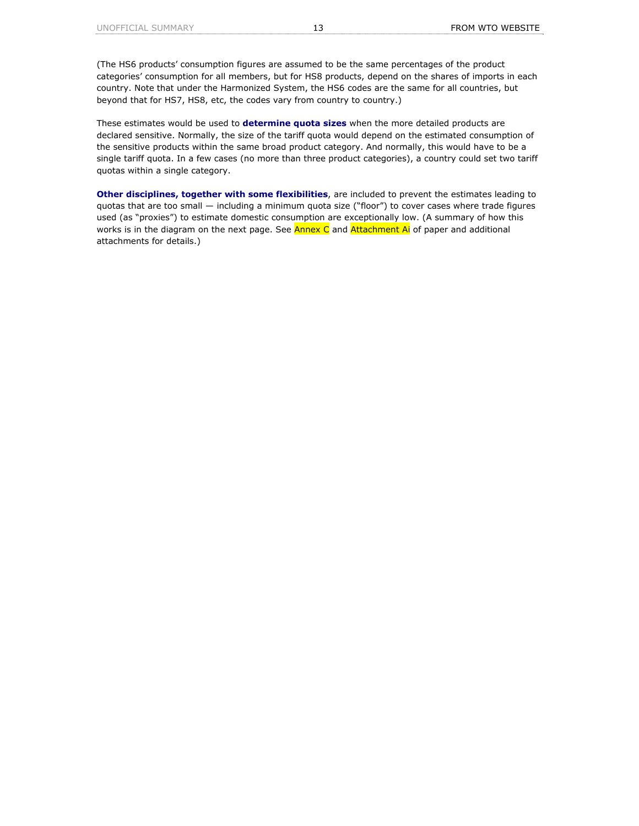(The HS6 products' consumption figures are assumed to be the same percentages of the product categories' consumption for all members, but for HS8 products, depend on the shares of imports in each country. Note that under the Harmonized System, the HS6 codes are the same for all countries, but beyond that for HS7, HS8, etc, the codes vary from country to country.)

These estimates would be used to **determine quota sizes** when the more detailed products are declared sensitive. Normally, the size of the tariff quota would depend on the estimated consumption of the sensitive products within the same broad product category. And normally, this would have to be a single tariff quota. In a few cases (no more than three product categories), a country could set two tariff quotas within a single category.

**Other disciplines, together with some flexibilities**, are included to prevent the estimates leading to quotas that are too small — including a minimum quota size ("floor") to cover cases where trade figures used (as "proxies") to estimate domestic consumption are exceptionally low. (A summary of how this works is in the diagram on the next page. See **Annex C** and Attachment Ai of paper and additional attachments for details.)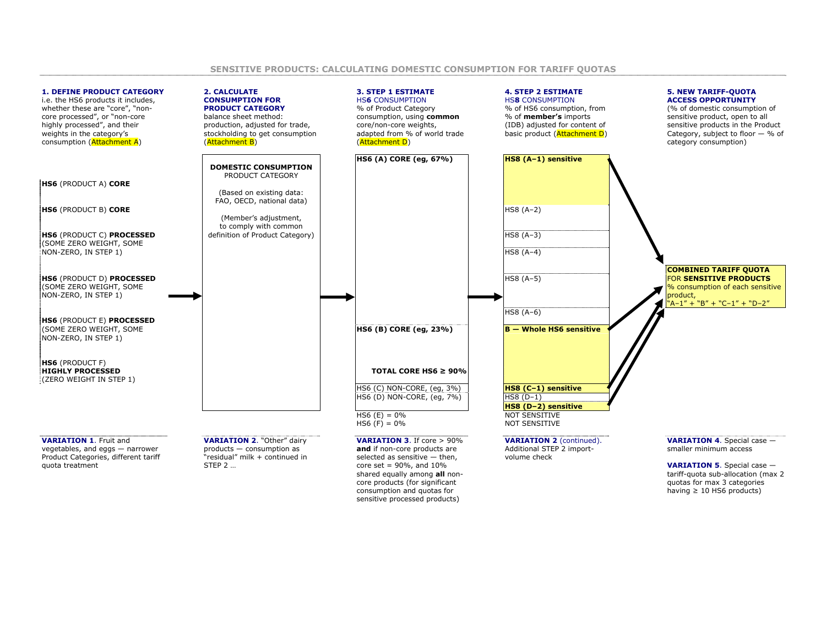### **1. DEFINE PRODUCT CATEGORY**

i.e. the HS6 products it includes, whether these are "core", "noncore processed", or "non-core highly processed", and their weights in the category's consumption (Attachment A)



**2. CALCULATE CONSUMPTION FOR PRODUCT CATEGORY** balance sheet method: production, adjusted for trade, stockholding to get consumption



**HS6** (PRODUCT A) **CORE** 

(SOME ZERO WEIGHT, SOME

**HS6** (PRODUCT E) **PROCESSED** NON-ZERO, IN STEP 1)

**HS6** (PRODUCT F) **HIGHLY PROCESSED**(ZERO WEIGHT IN STEP 1)

**VARIATION 1**. Fruit and vegetables, and eggs — narrower Product Categories, different tariff quota treatment

**VARIATION 2**. "Other" dairy products — consumption as "residual" milk + continued in STEP 2 …

shared equally among **all** noncore products (for significant consumption and quotas for sensitive processed products)

tariff-quota sub-allocation (max 2 quotas for max 3 categories having  $\geq 10$  HS6 products)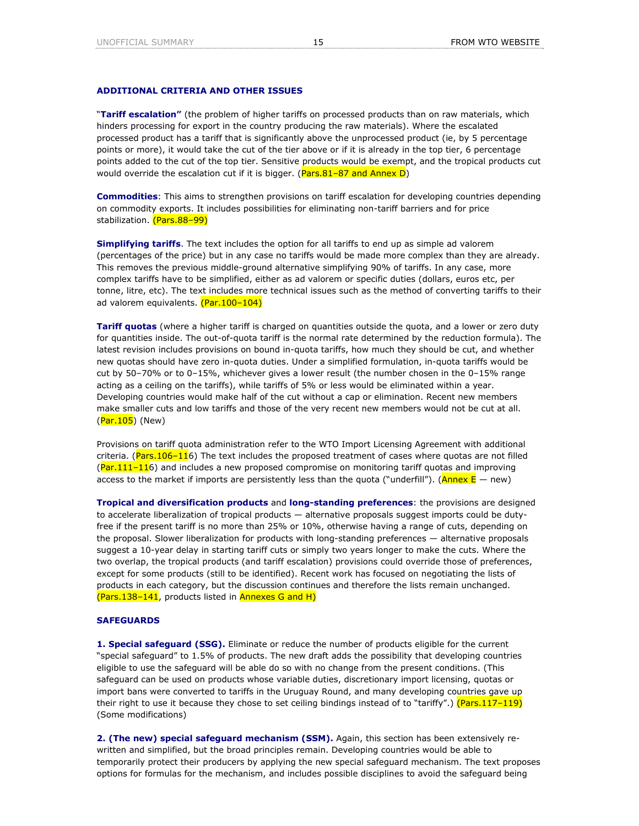## **ADDITIONAL CRITERIA AND OTHER ISSUES**

"**Tariff escalation"** (the problem of higher tariffs on processed products than on raw materials, which hinders processing for export in the country producing the raw materials). Where the escalated processed product has a tariff that is significantly above the unprocessed product (ie, by 5 percentage points or more), it would take the cut of the tier above or if it is already in the top tier, 6 percentage points added to the cut of the top tier. Sensitive products would be exempt, and the tropical products cut would override the escalation cut if it is bigger. ( $Pars.81-87$  and Annex D)

**Commodities**: This aims to strengthen provisions on tariff escalation for developing countries depending on commodity exports. It includes possibilities for eliminating non-tariff barriers and for price stabilization. (Pars.88-99)

**Simplifying tariffs**. The text includes the option for all tariffs to end up as simple ad valorem (percentages of the price) but in any case no tariffs would be made more complex than they are already. This removes the previous middle-ground alternative simplifying 90% of tariffs. In any case, more complex tariffs have to be simplified, either as ad valorem or specific duties (dollars, euros etc, per tonne, litre, etc). The text includes more technical issues such as the method of converting tariffs to their ad valorem equivalents. (Par. 100-104)

**Tariff quotas** (where a higher tariff is charged on quantities outside the quota, and a lower or zero duty for quantities inside. The out-of-quota tariff is the normal rate determined by the reduction formula). The latest revision includes provisions on bound in-quota tariffs, how much they should be cut, and whether new quotas should have zero in-quota duties. Under a simplified formulation, in-quota tariffs would be cut by 50–70% or to 0–15%, whichever gives a lower result (the number chosen in the 0–15% range acting as a ceiling on the tariffs), while tariffs of 5% or less would be eliminated within a year. Developing countries would make half of the cut without a cap or elimination. Recent new members make smaller cuts and low tariffs and those of the very recent new members would not be cut at all. (Par.105) (New)

Provisions on tariff quota administration refer to the WTO Import Licensing Agreement with additional criteria. (Pars.106–116) The text includes the proposed treatment of cases where quotas are not filled  $(Part 111-116)$  and includes a new proposed compromise on monitoring tariff quotas and improving access to the market if imports are persistently less than the quota ("underfill"). ( $\Delta n$ nex E — new)

**Tropical and diversification products** and **long-standing preferences**: the provisions are designed to accelerate liberalization of tropical products — alternative proposals suggest imports could be dutyfree if the present tariff is no more than 25% or 10%, otherwise having a range of cuts, depending on the proposal. Slower liberalization for products with long-standing preferences — alternative proposals suggest a 10-year delay in starting tariff cuts or simply two years longer to make the cuts. Where the two overlap, the tropical products (and tariff escalation) provisions could override those of preferences, except for some products (still to be identified). Recent work has focused on negotiating the lists of products in each category, but the discussion continues and therefore the lists remain unchanged.  $(Pass.138-141,$  products listed in **Annexes G and H)** 

## **SAFEGUARDS**

**1. Special safeguard (SSG).** Eliminate or reduce the number of products eligible for the current "special safeguard" to 1.5% of products. The new draft adds the possibility that developing countries eligible to use the safeguard will be able do so with no change from the present conditions. (This safeguard can be used on products whose variable duties, discretionary import licensing, quotas or import bans were converted to tariffs in the Uruguay Round, and many developing countries gave up their right to use it because they chose to set ceiling bindings instead of to "tariffy".) (Pars.117-119) (Some modifications)

**2. (The new) special safeguard mechanism (SSM).** Again, this section has been extensively rewritten and simplified, but the broad principles remain. Developing countries would be able to temporarily protect their producers by applying the new special safeguard mechanism. The text proposes options for formulas for the mechanism, and includes possible disciplines to avoid the safeguard being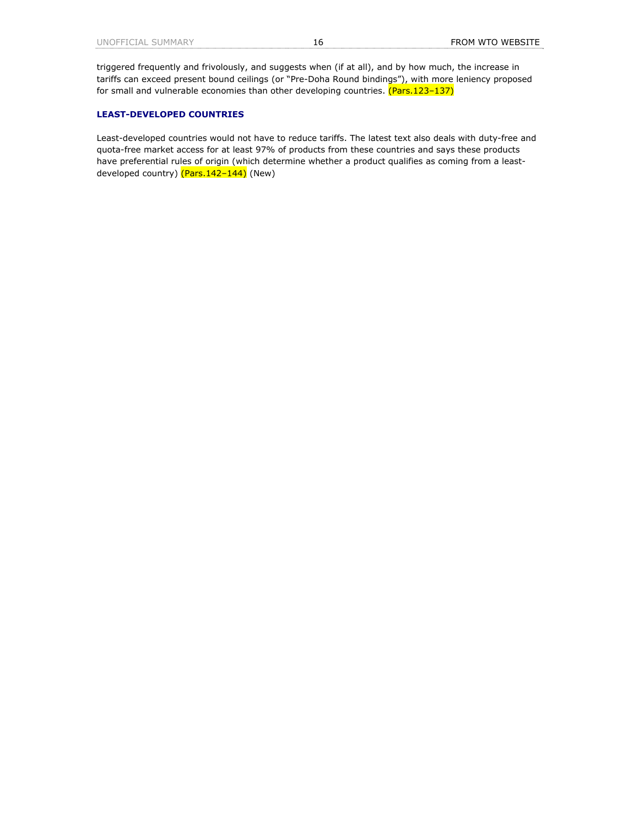triggered frequently and frivolously, and suggests when (if at all), and by how much, the increase in tariffs can exceed present bound ceilings (or "Pre-Doha Round bindings"), with more leniency proposed for small and vulnerable economies than other developing countries. (Pars.123-137)

# **LEAST-DEVELOPED COUNTRIES**

Least-developed countries would not have to reduce tariffs. The latest text also deals with duty-free and quota-free market access for at least 97% of products from these countries and says these products have preferential rules of origin (which determine whether a product qualifies as coming from a leastdeveloped country) (Pars.142–144) (New)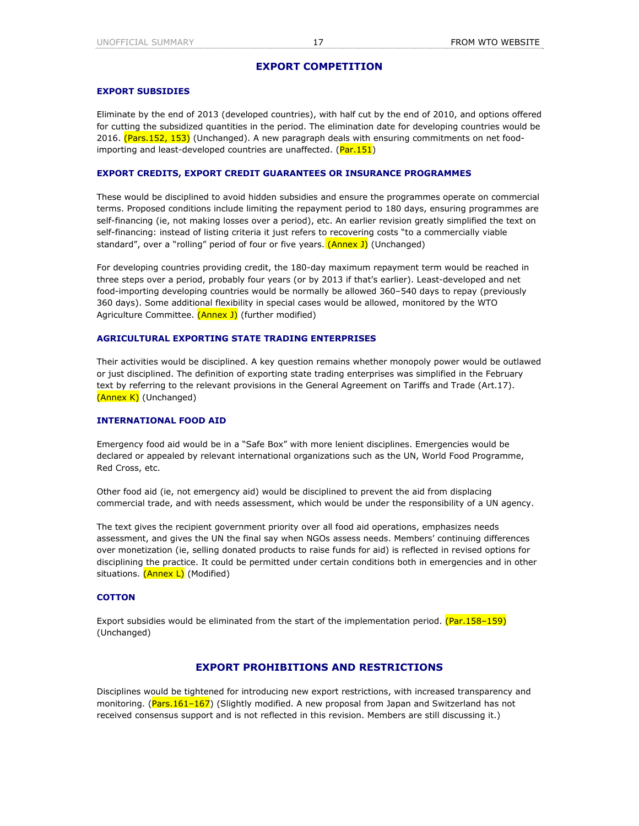# **EXPORT COMPETITION**

## **EXPORT SUBSIDIES**

Eliminate by the end of 2013 (developed countries), with half cut by the end of 2010, and options offered for cutting the subsidized quantities in the period. The elimination date for developing countries would be 2016. (Pars.152, 153) (Unchanged). A new paragraph deals with ensuring commitments on net foodimporting and least-developed countries are unaffected. (Par.151)

## **EXPORT CREDITS, EXPORT CREDIT GUARANTEES OR INSURANCE PROGRAMMES**

These would be disciplined to avoid hidden subsidies and ensure the programmes operate on commercial terms. Proposed conditions include limiting the repayment period to 180 days, ensuring programmes are self-financing (ie, not making losses over a period), etc. An earlier revision greatly simplified the text on self-financing: instead of listing criteria it just refers to recovering costs "to a commercially viable standard", over a "rolling" period of four or five years. (Annex J) (Unchanged)

For developing countries providing credit, the 180-day maximum repayment term would be reached in three steps over a period, probably four years (or by 2013 if that's earlier). Least-developed and net food-importing developing countries would be normally be allowed 360–540 days to repay (previously 360 days). Some additional flexibility in special cases would be allowed, monitored by the WTO Agriculture Committee. (Annex J) (further modified)

## **AGRICULTURAL EXPORTING STATE TRADING ENTERPRISES**

Their activities would be disciplined. A key question remains whether monopoly power would be outlawed or just disciplined. The definition of exporting state trading enterprises was simplified in the February text by referring to the relevant provisions in the General Agreement on Tariffs and Trade (Art.17). (Annex K) (Unchanged)

## **INTERNATIONAL FOOD AID**

Emergency food aid would be in a "Safe Box" with more lenient disciplines. Emergencies would be declared or appealed by relevant international organizations such as the UN, World Food Programme, Red Cross, etc.

Other food aid (ie, not emergency aid) would be disciplined to prevent the aid from displacing commercial trade, and with needs assessment, which would be under the responsibility of a UN agency.

The text gives the recipient government priority over all food aid operations, emphasizes needs assessment, and gives the UN the final say when NGOs assess needs. Members' continuing differences over monetization (ie, selling donated products to raise funds for aid) is reflected in revised options for disciplining the practice. It could be permitted under certain conditions both in emergencies and in other situations. (Annex L) (Modified)

## **COTTON**

Export subsidies would be eliminated from the start of the implementation period.  $(Par.158-159)$ (Unchanged)

# **EXPORT PROHIBITIONS AND RESTRICTIONS**

Disciplines would be tightened for introducing new export restrictions, with increased transparency and monitoring. (Pars.161-167) (Slightly modified. A new proposal from Japan and Switzerland has not received consensus support and is not reflected in this revision. Members are still discussing it.)